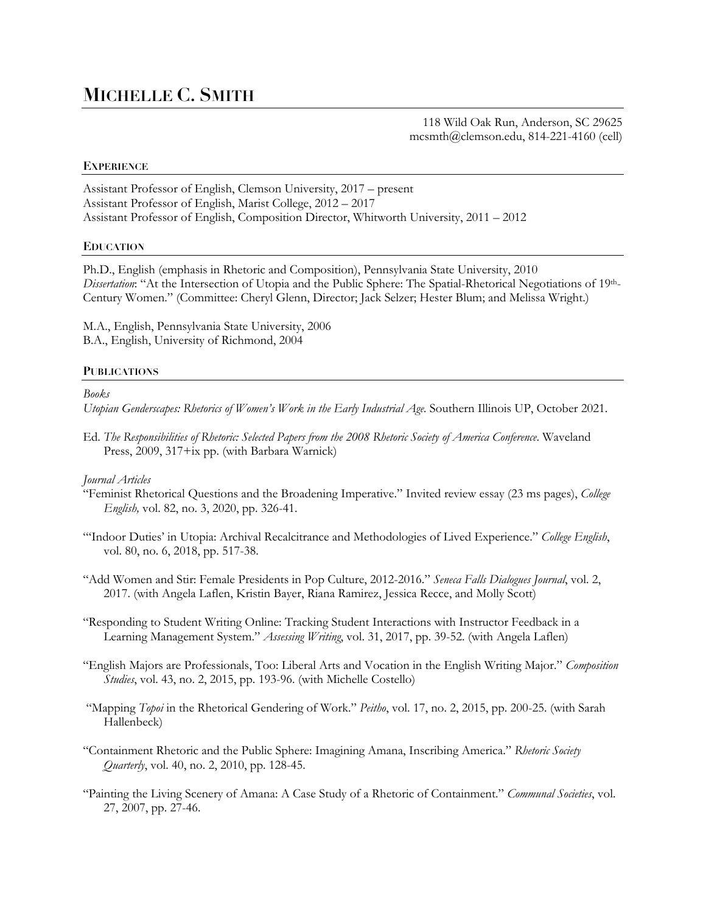# **MICHELLE C. SMITH**

118 Wild Oak Run, Anderson, SC 29625 mcsmth@clemson.edu, 814-221-4160 (cell)

# **EXPERIENCE**

Assistant Professor of English, Clemson University, 2017 – present Assistant Professor of English, Marist College, 2012 – 2017 Assistant Professor of English, Composition Director, Whitworth University, 2011 – 2012

# **EDUCATION**

Ph.D., English (emphasis in Rhetoric and Composition), Pennsylvania State University, 2010 *Dissertation*: "At the Intersection of Utopia and the Public Sphere: The Spatial-Rhetorical Negotiations of 19th-Century Women." (Committee: Cheryl Glenn, Director; Jack Selzer; Hester Blum; and Melissa Wright.)

M.A., English, Pennsylvania State University, 2006 B.A., English, University of Richmond, 2004

# **PUBLICATIONS**

*Books*

*Utopian Genderscapes: Rhetorics of Women's Work in the Early Industrial Age.* Southern Illinois UP, October 2021.

Ed. *The Responsibilities of Rhetoric: Selected Papers from the 2008 Rhetoric Society of America Conference*. Waveland Press, 2009, 317+ix pp. (with Barbara Warnick)

# *Journal Articles*

- "Feminist Rhetorical Questions and the Broadening Imperative." Invited review essay (23 ms pages), *College English,* vol. 82, no. 3, 2020, pp. 326-41.
- "'Indoor Duties' in Utopia: Archival Recalcitrance and Methodologies of Lived Experience." *College English*, vol. 80, no. 6, 2018, pp. 517-38.
- "Add Women and Stir: Female Presidents in Pop Culture, 2012-2016." *Seneca Falls Dialogues Journal*, vol. 2, 2017. (with Angela Laflen, Kristin Bayer, Riana Ramirez, Jessica Recce, and Molly Scott)
- "Responding to Student Writing Online: Tracking Student Interactions with Instructor Feedback in a Learning Management System." *Assessing Writing*, vol. 31, 2017, pp. 39-52. (with Angela Laflen)
- "English Majors are Professionals, Too: Liberal Arts and Vocation in the English Writing Major." *Composition Studies*, vol. 43, no. 2, 2015, pp. 193-96. (with Michelle Costello)
- "Mapping *Topoi* in the Rhetorical Gendering of Work." *Peitho*, vol. 17, no. 2, 2015, pp. 200-25. (with Sarah Hallenbeck)
- "Containment Rhetoric and the Public Sphere: Imagining Amana, Inscribing America." *Rhetoric Society Quarterly*, vol. 40, no. 2, 2010, pp. 128-45.
- "Painting the Living Scenery of Amana: A Case Study of a Rhetoric of Containment." *Communal Societies*, vol. 27, 2007, pp. 27-46.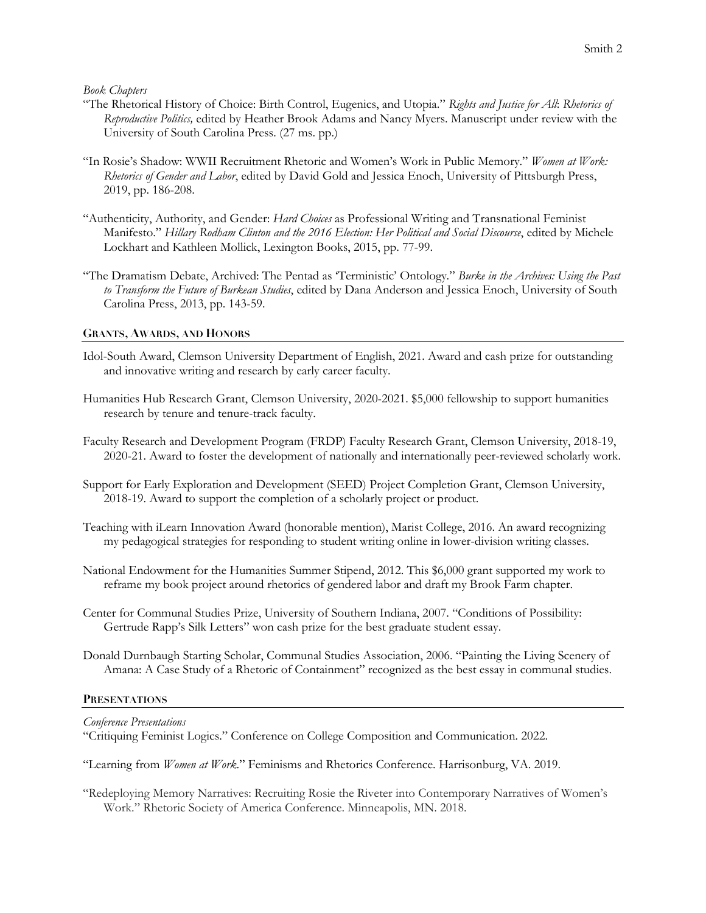*Book Chapters*

- "The Rhetorical History of Choice: Birth Control, Eugenics, and Utopia." *Rights and Justice for All*: *Rhetorics of Reproductive Politics,* edited by Heather Brook Adams and Nancy Myers. Manuscript under review with the University of South Carolina Press. (27 ms. pp.)
- "In Rosie's Shadow: WWII Recruitment Rhetoric and Women's Work in Public Memory." *Women at Work: Rhetorics of Gender and Labor*, edited by David Gold and Jessica Enoch, University of Pittsburgh Press, 2019, pp. 186-208.
- "Authenticity, Authority, and Gender: *Hard Choices* as Professional Writing and Transnational Feminist Manifesto." *Hillary Rodham Clinton and the 2016 Election: Her Political and Social Discourse*, edited by Michele Lockhart and Kathleen Mollick, Lexington Books, 2015, pp. 77-99.
- "The Dramatism Debate, Archived: The Pentad as 'Terministic' Ontology." *Burke in the Archives: Using the Past to Transform the Future of Burkean Studies*, edited by Dana Anderson and Jessica Enoch, University of South Carolina Press, 2013, pp. 143-59.

# **GRANTS, AWARDS, AND HONORS**

- Idol-South Award, Clemson University Department of English, 2021. Award and cash prize for outstanding and innovative writing and research by early career faculty.
- Humanities Hub Research Grant, Clemson University, 2020-2021. \$5,000 fellowship to support humanities research by tenure and tenure-track faculty.
- Faculty Research and Development Program (FRDP) Faculty Research Grant, Clemson University, 2018-19, 2020-21. Award to foster the development of nationally and internationally peer-reviewed scholarly work.
- Support for Early Exploration and Development (SEED) Project Completion Grant, Clemson University, 2018-19. Award to support the completion of a scholarly project or product.
- Teaching with iLearn Innovation Award (honorable mention), Marist College, 2016. An award recognizing my pedagogical strategies for responding to student writing online in lower-division writing classes.
- National Endowment for the Humanities Summer Stipend, 2012. This \$6,000 grant supported my work to reframe my book project around rhetorics of gendered labor and draft my Brook Farm chapter.
- Center for Communal Studies Prize, University of Southern Indiana, 2007. "Conditions of Possibility: Gertrude Rapp's Silk Letters" won cash prize for the best graduate student essay.
- Donald Durnbaugh Starting Scholar, Communal Studies Association, 2006. "Painting the Living Scenery of Amana: A Case Study of a Rhetoric of Containment" recognized as the best essay in communal studies.

# **PRESENTATIONS**

*Conference Presentations* 

"Critiquing Feminist Logics." Conference on College Composition and Communication. 2022.

"Learning from *Women at Work*." Feminisms and Rhetorics Conference. Harrisonburg, VA. 2019.

"Redeploying Memory Narratives: Recruiting Rosie the Riveter into Contemporary Narratives of Women's Work." Rhetoric Society of America Conference. Minneapolis, MN. 2018.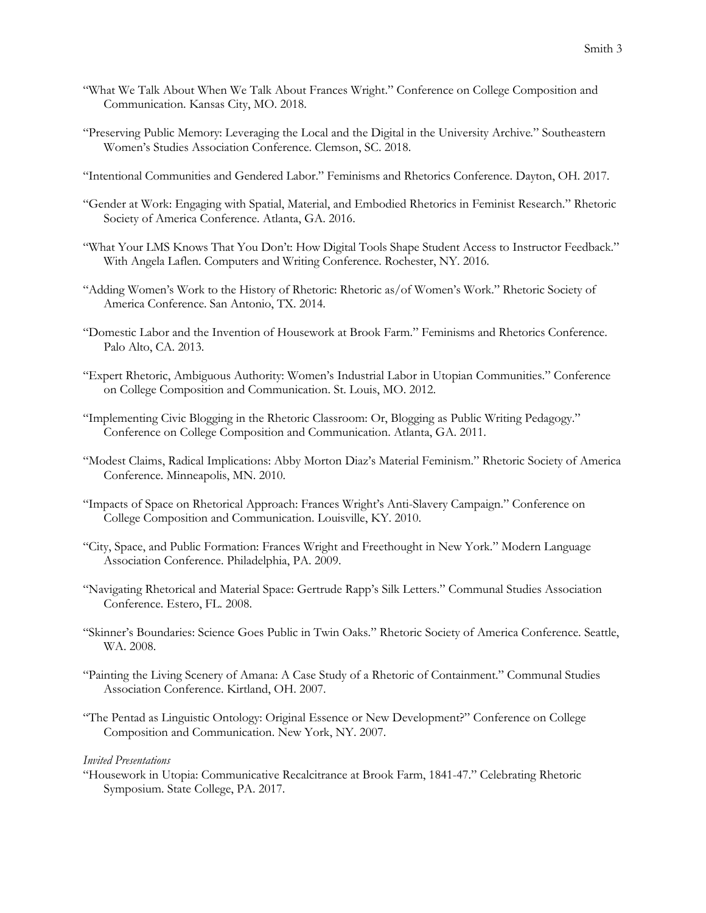- "What We Talk About When We Talk About Frances Wright." Conference on College Composition and Communication. Kansas City, MO. 2018.
- "Preserving Public Memory: Leveraging the Local and the Digital in the University Archive." Southeastern Women's Studies Association Conference. Clemson, SC. 2018.
- "Intentional Communities and Gendered Labor." Feminisms and Rhetorics Conference. Dayton, OH. 2017.
- "Gender at Work: Engaging with Spatial, Material, and Embodied Rhetorics in Feminist Research." Rhetoric Society of America Conference. Atlanta, GA. 2016.
- "What Your LMS Knows That You Don't: How Digital Tools Shape Student Access to Instructor Feedback." With Angela Laflen. Computers and Writing Conference. Rochester, NY. 2016.
- "Adding Women's Work to the History of Rhetoric: Rhetoric as/of Women's Work." Rhetoric Society of America Conference. San Antonio, TX. 2014.
- "Domestic Labor and the Invention of Housework at Brook Farm." Feminisms and Rhetorics Conference. Palo Alto, CA. 2013.
- "Expert Rhetoric, Ambiguous Authority: Women's Industrial Labor in Utopian Communities." Conference on College Composition and Communication. St. Louis, MO. 2012.
- "Implementing Civic Blogging in the Rhetoric Classroom: Or, Blogging as Public Writing Pedagogy." Conference on College Composition and Communication. Atlanta, GA. 2011.
- "Modest Claims, Radical Implications: Abby Morton Diaz's Material Feminism." Rhetoric Society of America Conference. Minneapolis, MN. 2010.
- "Impacts of Space on Rhetorical Approach: Frances Wright's Anti-Slavery Campaign." Conference on College Composition and Communication. Louisville, KY. 2010.
- "City, Space, and Public Formation: Frances Wright and Freethought in New York." Modern Language Association Conference. Philadelphia, PA. 2009.
- "Navigating Rhetorical and Material Space: Gertrude Rapp's Silk Letters." Communal Studies Association Conference. Estero, FL. 2008.
- "Skinner's Boundaries: Science Goes Public in Twin Oaks." Rhetoric Society of America Conference. Seattle, WA. 2008.
- "Painting the Living Scenery of Amana: A Case Study of a Rhetoric of Containment." Communal Studies Association Conference. Kirtland, OH. 2007.
- "The Pentad as Linguistic Ontology: Original Essence or New Development?" Conference on College Composition and Communication. New York, NY. 2007.

## *Invited Presentations*

"Housework in Utopia: Communicative Recalcitrance at Brook Farm, 1841-47." Celebrating Rhetoric Symposium. State College, PA. 2017.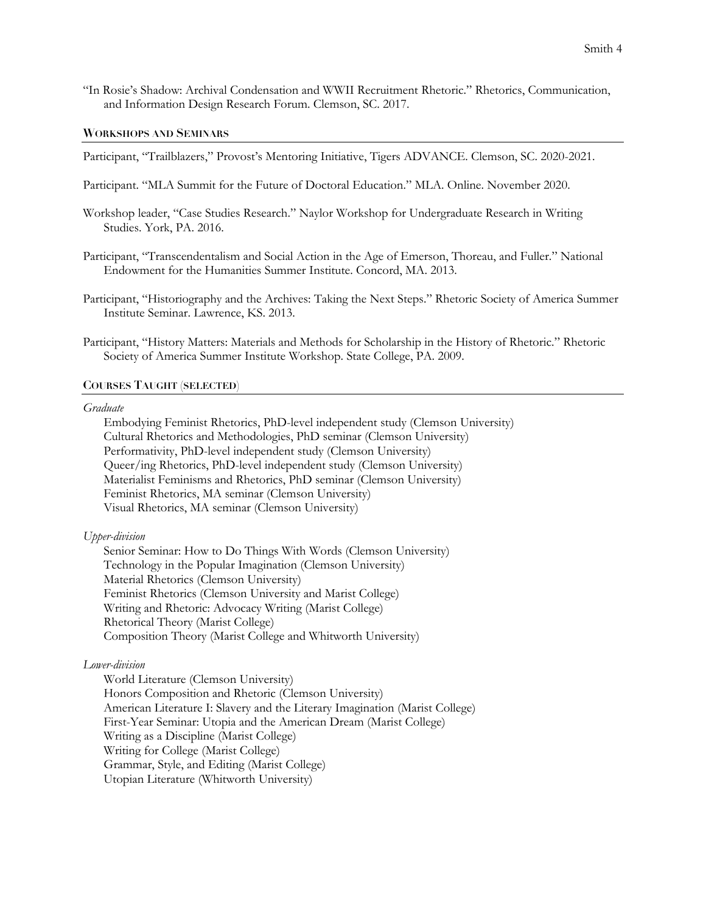"In Rosie's Shadow: Archival Condensation and WWII Recruitment Rhetoric." Rhetorics, Communication, and Information Design Research Forum. Clemson, SC. 2017.

#### **WORKSHOPS AND SEMINARS**

Participant, "Trailblazers," Provost's Mentoring Initiative, Tigers ADVANCE. Clemson, SC. 2020-2021.

- Participant. "MLA Summit for the Future of Doctoral Education." MLA. Online. November 2020.
- Workshop leader, "Case Studies Research." Naylor Workshop for Undergraduate Research in Writing Studies. York, PA. 2016.
- Participant, "Transcendentalism and Social Action in the Age of Emerson, Thoreau, and Fuller." National Endowment for the Humanities Summer Institute. Concord, MA. 2013.
- Participant, "Historiography and the Archives: Taking the Next Steps." Rhetoric Society of America Summer Institute Seminar. Lawrence, KS. 2013.
- Participant, "History Matters: Materials and Methods for Scholarship in the History of Rhetoric." Rhetoric Society of America Summer Institute Workshop. State College, PA. 2009.

#### **COURSES TAUGHT (SELECTED)**

#### *Graduate*

Embodying Feminist Rhetorics, PhD-level independent study (Clemson University) Cultural Rhetorics and Methodologies, PhD seminar (Clemson University) Performativity, PhD-level independent study (Clemson University) Queer/ing Rhetorics, PhD-level independent study (Clemson University) Materialist Feminisms and Rhetorics, PhD seminar (Clemson University) Feminist Rhetorics, MA seminar (Clemson University) Visual Rhetorics, MA seminar (Clemson University)

## *Upper-division*

Senior Seminar: How to Do Things With Words (Clemson University) Technology in the Popular Imagination (Clemson University) Material Rhetorics (Clemson University) Feminist Rhetorics (Clemson University and Marist College) Writing and Rhetoric: Advocacy Writing (Marist College) Rhetorical Theory (Marist College) Composition Theory (Marist College and Whitworth University)

## *Lower-division*

World Literature (Clemson University) Honors Composition and Rhetoric (Clemson University) American Literature I: Slavery and the Literary Imagination (Marist College) First-Year Seminar: Utopia and the American Dream (Marist College) Writing as a Discipline (Marist College) Writing for College (Marist College) Grammar, Style, and Editing (Marist College) Utopian Literature (Whitworth University)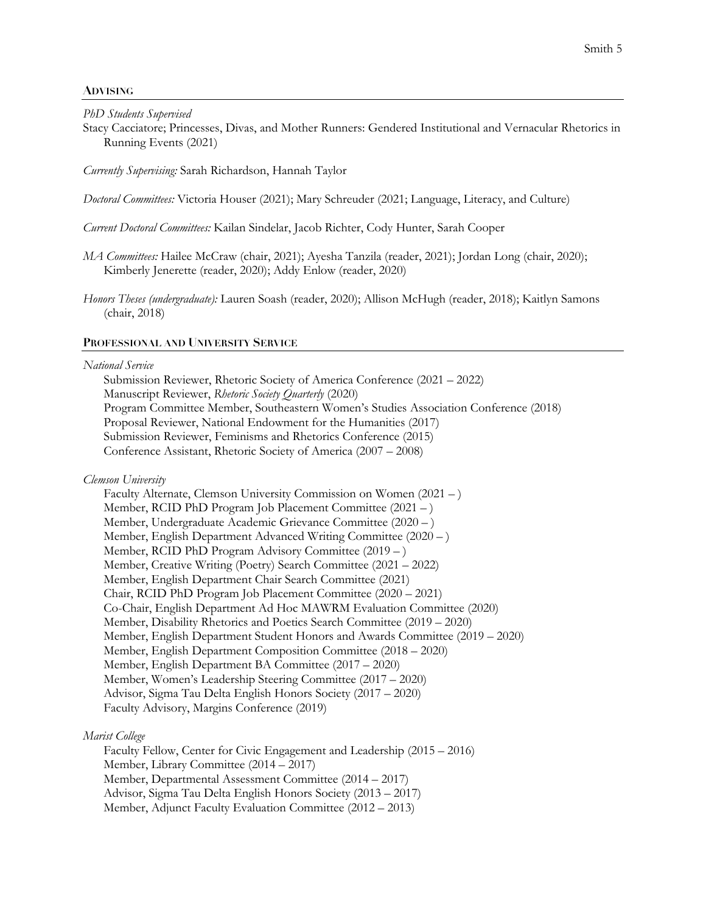## **ADVISING**

*PhD Students Supervised*

Stacy Cacciatore; Princesses, Divas, and Mother Runners: Gendered Institutional and Vernacular Rhetorics in Running Events (2021)

*Currently Supervising:* Sarah Richardson, Hannah Taylor

*Doctoral Committees:* Victoria Houser (2021); Mary Schreuder (2021; Language, Literacy, and Culture)

*Current Doctoral Committees:* Kailan Sindelar, Jacob Richter, Cody Hunter, Sarah Cooper

- *MA Committees:* Hailee McCraw (chair, 2021); Ayesha Tanzila (reader, 2021); Jordan Long (chair, 2020); Kimberly Jenerette (reader, 2020); Addy Enlow (reader, 2020)
- *Honors Theses (undergraduate):* Lauren Soash (reader, 2020); Allison McHugh (reader, 2018); Kaitlyn Samons (chair, 2018)

## **PROFESSIONAL AND UNIVERSITY SERVICE**

#### *National Service*

Submission Reviewer, Rhetoric Society of America Conference (2021 – 2022) Manuscript Reviewer, *Rhetoric Society Quarterly* (2020) Program Committee Member, Southeastern Women's Studies Association Conference (2018) Proposal Reviewer, National Endowment for the Humanities (2017) Submission Reviewer, Feminisms and Rhetorics Conference (2015) Conference Assistant, Rhetoric Society of America (2007 – 2008)

## *Clemson University*

Faculty Alternate, Clemson University Commission on Women (2021 – ) Member, RCID PhD Program Job Placement Committee (2021 – ) Member, Undergraduate Academic Grievance Committee (2020 – ) Member, English Department Advanced Writing Committee (2020 – ) Member, RCID PhD Program Advisory Committee (2019 – ) Member, Creative Writing (Poetry) Search Committee (2021 – 2022) Member, English Department Chair Search Committee (2021) Chair, RCID PhD Program Job Placement Committee (2020 – 2021) Co-Chair, English Department Ad Hoc MAWRM Evaluation Committee (2020) Member, Disability Rhetorics and Poetics Search Committee (2019 – 2020) Member, English Department Student Honors and Awards Committee (2019 – 2020) Member, English Department Composition Committee (2018 – 2020) Member, English Department BA Committee (2017 – 2020) Member, Women's Leadership Steering Committee (2017 – 2020) Advisor, Sigma Tau Delta English Honors Society (2017 – 2020) Faculty Advisory, Margins Conference (2019)

## *Marist College*

Faculty Fellow, Center for Civic Engagement and Leadership (2015 – 2016) Member, Library Committee (2014 – 2017) Member, Departmental Assessment Committee (2014 – 2017) Advisor, Sigma Tau Delta English Honors Society (2013 – 2017) Member, Adjunct Faculty Evaluation Committee (2012 – 2013)